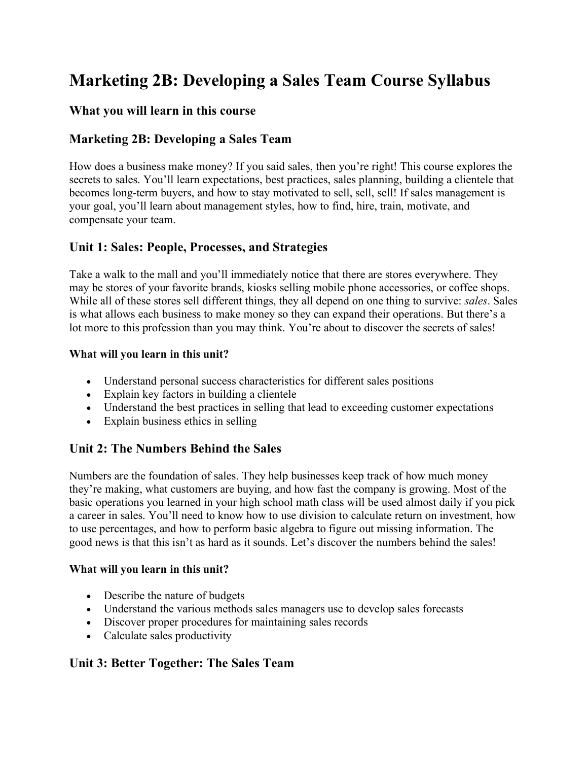# **Marketing 2B: Developing a Sales Team Course Syllabus**

## **What you will learn in this course**

## **Marketing 2B: Developing a Sales Team**

How does a business make money? If you said sales, then you're right! This course explores the secrets to sales. You'll learn expectations, best practices, sales planning, building a clientele that becomes long-term buyers, and how to stay motivated to sell, sell, sell! If sales management is your goal, you'll learn about management styles, how to find, hire, train, motivate, and compensate your team.

## **Unit 1: Sales: People, Processes, and Strategies**

Take a walk to the mall and you'll immediately notice that there are stores everywhere. They may be stores of your favorite brands, kiosks selling mobile phone accessories, or coffee shops. While all of these stores sell different things, they all depend on one thing to survive: *sales*. Sales is what allows each business to make money so they can expand their operations. But there's a lot more to this profession than you may think. You're about to discover the secrets of sales!

#### **What will you learn in this unit?**

- Understand personal success characteristics for different sales positions
- Explain key factors in building a clientele
- Understand the best practices in selling that lead to exceeding customer expectations
- Explain business ethics in selling

# **Unit 2: The Numbers Behind the Sales**

Numbers are the foundation of sales. They help businesses keep track of how much money they're making, what customers are buying, and how fast the company is growing. Most of the basic operations you learned in your high school math class will be used almost daily if you pick a career in sales. You'll need to know how to use division to calculate return on investment, how to use percentages, and how to perform basic algebra to figure out missing information. The good news is that this isn't as hard as it sounds. Let's discover the numbers behind the sales!

#### **What will you learn in this unit?**

- Describe the nature of budgets
- Understand the various methods sales managers use to develop sales forecasts
- Discover proper procedures for maintaining sales records
- Calculate sales productivity

# **Unit 3: Better Together: The Sales Team**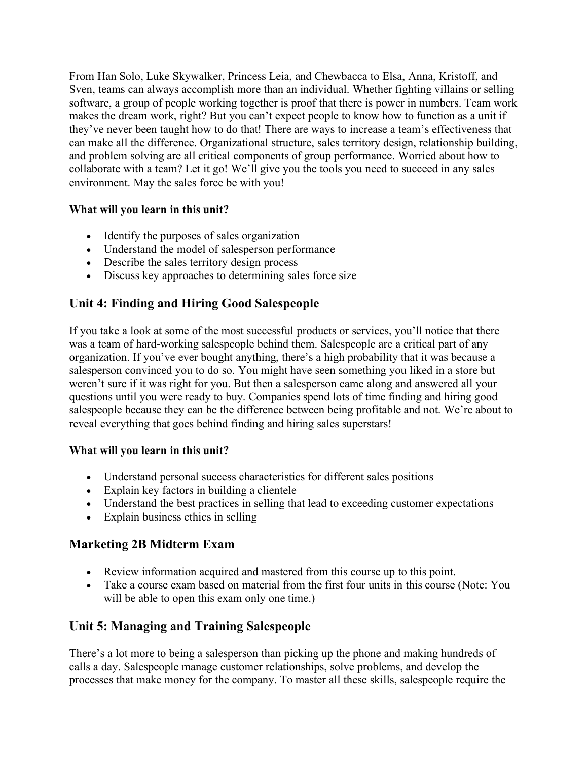From Han Solo, Luke Skywalker, Princess Leia, and Chewbacca to Elsa, Anna, Kristoff, and Sven, teams can always accomplish more than an individual. Whether fighting villains or selling software, a group of people working together is proof that there is power in numbers. Team work makes the dream work, right? But you can't expect people to know how to function as a unit if they've never been taught how to do that! There are ways to increase a team's effectiveness that can make all the difference. Organizational structure, sales territory design, relationship building, and problem solving are all critical components of group performance. Worried about how to collaborate with a team? Let it go! We'll give you the tools you need to succeed in any sales environment. May the sales force be with you!

# **What will you learn in this unit?**

- Identify the purposes of sales organization
- Understand the model of salesperson performance
- Describe the sales territory design process
- Discuss key approaches to determining sales force size

# **Unit 4: Finding and Hiring Good Salespeople**

If you take a look at some of the most successful products or services, you'll notice that there was a team of hard-working salespeople behind them. Salespeople are a critical part of any organization. If you've ever bought anything, there's a high probability that it was because a salesperson convinced you to do so. You might have seen something you liked in a store but weren't sure if it was right for you. But then a salesperson came along and answered all your questions until you were ready to buy. Companies spend lots of time finding and hiring good salespeople because they can be the difference between being profitable and not. We're about to reveal everything that goes behind finding and hiring sales superstars!

#### **What will you learn in this unit?**

- Understand personal success characteristics for different sales positions
- Explain key factors in building a clientele
- Understand the best practices in selling that lead to exceeding customer expectations
- Explain business ethics in selling

# **Marketing 2B Midterm Exam**

- Review information acquired and mastered from this course up to this point.
- Take a course exam based on material from the first four units in this course (Note: You will be able to open this exam only one time.)

# **Unit 5: Managing and Training Salespeople**

There's a lot more to being a salesperson than picking up the phone and making hundreds of calls a day. Salespeople manage customer relationships, solve problems, and develop the processes that make money for the company. To master all these skills, salespeople require the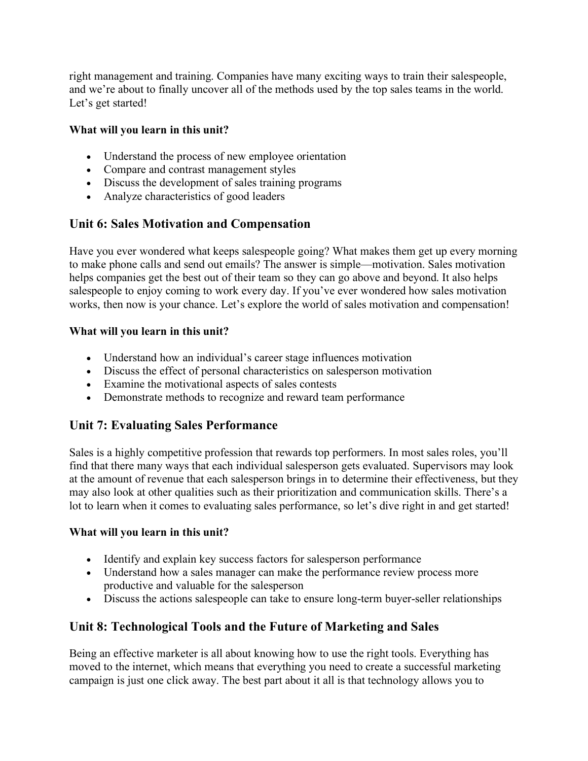right management and training. Companies have many exciting ways to train their salespeople, and we're about to finally uncover all of the methods used by the top sales teams in the world. Let's get started!

## **What will you learn in this unit?**

- Understand the process of new employee orientation
- Compare and contrast management styles
- Discuss the development of sales training programs
- Analyze characteristics of good leaders

# **Unit 6: Sales Motivation and Compensation**

Have you ever wondered what keeps salespeople going? What makes them get up every morning to make phone calls and send out emails? The answer is simple—motivation. Sales motivation helps companies get the best out of their team so they can go above and beyond. It also helps salespeople to enjoy coming to work every day. If you've ever wondered how sales motivation works, then now is your chance. Let's explore the world of sales motivation and compensation!

## **What will you learn in this unit?**

- Understand how an individual's career stage influences motivation
- Discuss the effect of personal characteristics on salesperson motivation
- Examine the motivational aspects of sales contests
- Demonstrate methods to recognize and reward team performance

# **Unit 7: Evaluating Sales Performance**

Sales is a highly competitive profession that rewards top performers. In most sales roles, you'll find that there many ways that each individual salesperson gets evaluated. Supervisors may look at the amount of revenue that each salesperson brings in to determine their effectiveness, but they may also look at other qualities such as their prioritization and communication skills. There's a lot to learn when it comes to evaluating sales performance, so let's dive right in and get started!

#### **What will you learn in this unit?**

- Identify and explain key success factors for salesperson performance
- Understand how a sales manager can make the performance review process more productive and valuable for the salesperson
- Discuss the actions salespeople can take to ensure long-term buyer-seller relationships

# **Unit 8: Technological Tools and the Future of Marketing and Sales**

Being an effective marketer is all about knowing how to use the right tools. Everything has moved to the internet, which means that everything you need to create a successful marketing campaign is just one click away. The best part about it all is that technology allows you to